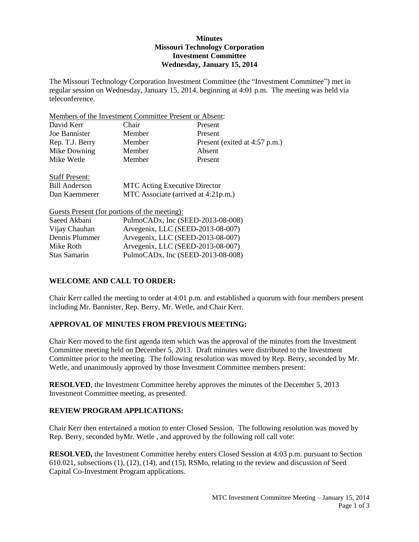# **Minutes Missouri Technology Corporation Investment Committee Wednesday, January 15, 2014**

The Missouri Technology Corporation Investment Committee (the "Investment Committee") met in regular session on Wednesday, January 15, 2014, beginning at 4:01 p.m. The meeting was held via teleconference.

| Members of the Investment Committee Present or Absent: |                                      |                                     |  |
|--------------------------------------------------------|--------------------------------------|-------------------------------------|--|
| David Kerr                                             | Chair                                | Present                             |  |
| Joe Bannister                                          | Member                               | Present                             |  |
| Rep. T.J. Berry                                        | Member                               | Present (exited at 4:57 p.m.)       |  |
| Mike Downing                                           | Member                               | Absent                              |  |
| Mike Wetle                                             | Member                               | Present                             |  |
| <b>Staff Present:</b>                                  |                                      |                                     |  |
| <b>Bill Anderson</b>                                   | <b>MTC</b> Acting Executive Director |                                     |  |
| Dan Kaemmerer                                          |                                      | MTC Associate (arrived at 4:21p.m.) |  |
| Guests Present (for portions of the meeting):          |                                      |                                     |  |
| Saeed Akbani                                           | PulmoCADx, Inc (SEED-2013-08-008)    |                                     |  |
| Vijay Chauhan                                          | Arvegenix, LLC (SEED-2013-08-007)    |                                     |  |
| Dennis Plummer                                         | Arvegenix, LLC (SEED-2013-08-007)    |                                     |  |

## **WELCOME AND CALL TO ORDER:**

Chair Kerr called the meeting to order at 4:01 p.m. and established a quorum with four members present including Mr. Bannister, Rep. Berry, Mr. Wetle, and Chair Kerr.

## **APPROVAL OF MINUTES FROM PREVIOUS MEETING:**

Mike Roth Arvegenix, LLC (SEED-2013-08-007) Stas Samarin PulmoCADx, Inc (SEED-2013-08-008)

Chair Kerr moved to the first agenda item which was the approval of the minutes from the Investment Committee meeting held on December 5, 2013. Draft minutes were distributed to the Investment Committee prior to the meeting. The following resolution was moved by Rep. Berry, seconded by Mr. Wetle, and unanimously approved by those Investment Committee members present:

**RESOLVED**, the Investment Committee hereby approves the minutes of the December 5, 2013 Investment Committee meeting, as presented.

#### **REVIEW PROGRAM APPLICATIONS:**

Chair Kerr then entertained a motion to enter Closed Session. The following resolution was moved by Rep. Berry, seconded byMr. Wetle , and approved by the following roll call vote:

**RESOLVED,** the Investment Committee hereby enters Closed Session at 4:03 p.m. pursuant to Section 610.021, subsections (1), (12), (14), and (15), RSMo, relating to the review and discussion of Seed Capital Co-Investment Program applications.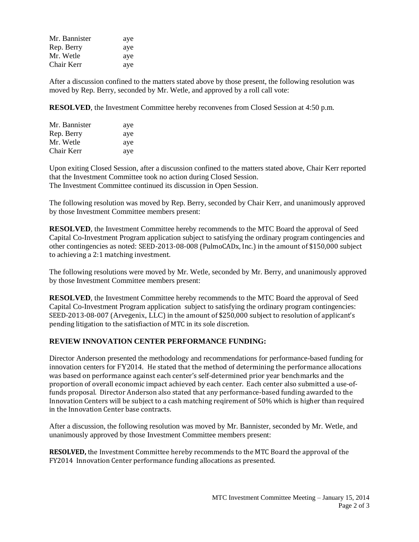| Mr. Bannister | aye |
|---------------|-----|
| Rep. Berry    | aye |
| Mr. Wetle     | aye |
| Chair Kerr    | aye |

After a discussion confined to the matters stated above by those present, the following resolution was moved by Rep. Berry, seconded by Mr. Wetle, and approved by a roll call vote:

**RESOLVED**, the Investment Committee hereby reconvenes from Closed Session at 4:50 p.m.

| Mr. Bannister | aye |
|---------------|-----|
| Rep. Berry    | aye |
| Mr. Wetle     | aye |
| Chair Kerr    | aye |

Upon exiting Closed Session, after a discussion confined to the matters stated above, Chair Kerr reported that the Investment Committee took no action during Closed Session. The Investment Committee continued its discussion in Open Session.

The following resolution was moved by Rep. Berry, seconded by Chair Kerr, and unanimously approved by those Investment Committee members present:

**RESOLVED**, the Investment Committee hereby recommends to the MTC Board the approval of Seed Capital Co-Investment Program application subject to satisfying the ordinary program contingencies and other contingencies as noted: SEED-2013-08-008 (PulmoCADx, Inc.) in the amount of \$150,000 subject to achieving a 2:1 matching investment.

The following resolutions were moved by Mr. Wetle, seconded by Mr. Berry, and unanimously approved by those Investment Committee members present:

**RESOLVED**, the Investment Committee hereby recommends to the MTC Board the approval of Seed Capital Co-Investment Program application subject to satisfying the ordinary program contingencies: SEED-2013-08-007 (Arvegenix, LLC) in the amount of \$250,000 subject to resolution of applicant's pending litigation to the satisfiaction of MTC in its sole discretion.

#### **REVIEW INNOVATION CENTER PERFORMANCE FUNDING:**

Director Anderson presented the methodology and recommendations for performance-based funding for innovation centers for FY2014. He stated that the method of determining the performance allocations was based on performance against each center's self-determined prior year benchmarks and the proportion of overall economic impact achieved by each center. Each center also submitted a use-offunds proposal. Director Anderson also stated that any performance-based funding awarded to the Innovation Centers will be subject to a cash matching reqirement of 50% which is higher than required in the Innovation Center base contracts.

After a discussion, the following resolution was moved by Mr. Bannister, seconded by Mr. Wetle, and unanimously approved by those Investment Committee members present:

**RESOLVED,** the Investment Committee hereby recommends to the MTC Board the approval of the FY2014 Innovation Center performance funding allocations as presented.